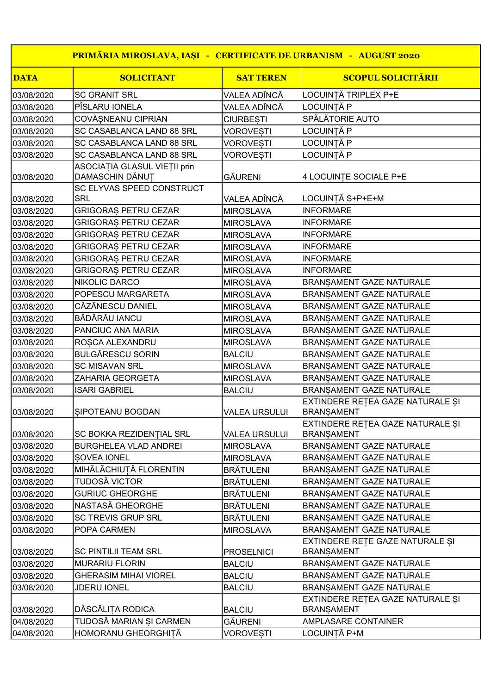| PRIMĂRIA MIROSLAVA, IAȘI - CERTIFICATE DE URBANISM - AUGUST 2020 |                                                 |                      |                                                       |
|------------------------------------------------------------------|-------------------------------------------------|----------------------|-------------------------------------------------------|
| <b>DATA</b>                                                      | <b>SOLICITANT</b>                               | <b>SAT TEREN</b>     | <b>SCOPUL SOLICITĂRII</b>                             |
| 03/08/2020                                                       | <b>SC GRANIT SRL</b>                            | VALEA ADÎNCĂ         | LOCUINȚĂ TRIPLEX P+E                                  |
| 03/08/2020                                                       | PÎSLARU IONELA                                  | VALEA ADÎNCĂ         | LOCUINȚĂ P                                            |
| 03/08/2020                                                       | COVĂȘNEANU CIPRIAN                              | <b>CIURBESTI</b>     | SPĂLĂTORIE AUTO                                       |
| 03/08/2020                                                       | SC CASABLANCA LAND 88 SRL                       | <b>VOROVESTI</b>     | <b>LOCUINTĂ P</b>                                     |
| 03/08/2020                                                       | SC CASABLANCA LAND 88 SRL                       | <b>VOROVESTI</b>     | LOCUINȚĂ P                                            |
| 03/08/2020                                                       | SC CASABLANCA LAND 88 SRL                       | <b>VOROVESTI</b>     | LOCUINȚĂ P                                            |
| 03/08/2020                                                       | ASOCIAȚIA GLASUL VIEȚII prin<br>DAMASCHIN DĂNUȚ | GĂURENI              | 4 LOCUINTE SOCIALE P+E                                |
| 03/08/2020                                                       | SC ELYVAS SPEED CONSTRUCT<br><b>SRL</b>         | VALEA ADÎNCĂ         | LOCUINȚĂ S+P+E+M                                      |
| 03/08/2020                                                       | <b>GRIGORAS PETRU CEZAR</b>                     | <b>MIROSLAVA</b>     | <b>INFORMARE</b>                                      |
| 03/08/2020                                                       | <b>GRIGORAS PETRU CEZAR</b>                     | <b>MIROSLAVA</b>     | <b>INFORMARE</b>                                      |
| 03/08/2020                                                       | <b>GRIGORAS PETRU CEZAR</b>                     | <b>MIROSLAVA</b>     | <b>INFORMARE</b>                                      |
| 03/08/2020                                                       | <b>GRIGORAS PETRU CEZAR</b>                     | <b>MIROSLAVA</b>     | <b>INFORMARE</b>                                      |
| 03/08/2020                                                       | <b>GRIGORAS PETRU CEZAR</b>                     | <b>MIROSLAVA</b>     | <b>INFORMARE</b>                                      |
| 03/08/2020                                                       | <b>GRIGORAS PETRU CEZAR</b>                     | <b>MIROSLAVA</b>     | <b>INFORMARE</b>                                      |
| 03/08/2020                                                       | NIKOLIC DARCO                                   | <b>MIROSLAVA</b>     | <b>BRANSAMENT GAZE NATURALE</b>                       |
| 03/08/2020                                                       | POPESCU MARGARETA                               | <b>MIROSLAVA</b>     | <b>BRANSAMENT GAZE NATURALE</b>                       |
| 03/08/2020                                                       | CĂZĂNESCU DANIEL                                | <b>MIROSLAVA</b>     | <b>BRANSAMENT GAZE NATURALE</b>                       |
| 03/08/2020                                                       | BĂDĂRĂU IANCU                                   | <b>MIROSLAVA</b>     | <b>BRANSAMENT GAZE NATURALE</b>                       |
| 03/08/2020                                                       | PANCIUC ANA MARIA                               | <b>MIROSLAVA</b>     | <b>BRANSAMENT GAZE NATURALE</b>                       |
| 03/08/2020                                                       | ROSCA ALEXANDRU                                 | <b>MIROSLAVA</b>     | BRANSAMENT GAZE NATURALE                              |
| 03/08/2020                                                       | <b>BULGĂRESCU SORIN</b>                         | <b>BALCIU</b>        | <b>BRANSAMENT GAZE NATURALE</b>                       |
| 03/08/2020                                                       | <b>SC MISAVAN SRL</b>                           | <b>MIROSLAVA</b>     | <b>BRANSAMENT GAZE NATURALE</b>                       |
| 03/08/2020                                                       | <b>ZAHARIA GEORGETA</b>                         | <b>MIROSLAVA</b>     | <b>BRANSAMENT GAZE NATURALE</b>                       |
| 03/08/2020                                                       | <b>ISARI GABRIEL</b>                            | <b>BALCIU</b>        | <b>BRANSAMENT GAZE NATURALE</b>                       |
| 03/08/2020                                                       | SIPOTEANU BOGDAN                                | <b>VALEA URSULUI</b> | EXTINDERE RETEA GAZE NATURALE SI<br><b>BRANSAMENT</b> |
| 03/08/2020                                                       | SC BOKKA REZIDENTIAL SRL                        | VALEA URSULUI        | EXTINDERE REȚEA GAZE NATURALE ȘI<br><b>BRANSAMENT</b> |
| 03/08/2020                                                       | <b>BURGHELEA VLAD ANDREI</b>                    | <b>MIROSLAVA</b>     | <b>BRANSAMENT GAZE NATURALE</b>                       |
| 03/08/2020                                                       | <b>SOVEA IONEL</b>                              | <b>MIROSLAVA</b>     | BRANSAMENT GAZE NATURALE                              |
| 03/08/2020                                                       | MIHĂLĂCHIUȚĂ FLORENTIN                          | <b>BRÄTULENI</b>     | BRANSAMENT GAZE NATURALE                              |
| 03/08/2020                                                       | TUDOSĂ VICTOR                                   | <b>BRÄTULENI</b>     | BRANSAMENT GAZE NATURALE                              |
| 03/08/2020                                                       | <b>GURIUC GHEORGHE</b>                          | <b>BRÄTULENI</b>     | BRANSAMENT GAZE NATURALE                              |
| 03/08/2020                                                       | NASTASĂ GHEORGHE                                | <b>BRÄTULENI</b>     | BRANSAMENT GAZE NATURALE                              |
| 03/08/2020                                                       | <b>SC TREVIS GRUP SRL</b>                       | BRĂTULENI            | BRANSAMENT GAZE NATURALE                              |
| 03/08/2020                                                       | POPA CARMEN                                     | <b>MIROSLAVA</b>     | BRANSAMENT GAZE NATURALE                              |
| 03/08/2020                                                       | <b>SC PINTILII TEAM SRL</b>                     | <b>PROSELNICI</b>    | EXTINDERE REȚE GAZE NATURALE ȘI<br><b>BRANSAMENT</b>  |
| 03/08/2020                                                       | <b>MURARIU FLORIN</b>                           | <b>BALCIU</b>        | <b>BRANSAMENT GAZE NATURALE</b>                       |
| 03/08/2020                                                       | <b>GHERASIM MIHAI VIOREL</b>                    | <b>BALCIU</b>        | BRANSAMENT GAZE NATURALE                              |
| 03/08/2020                                                       | <b>JDERU IONEL</b>                              | <b>BALCIU</b>        | BRANSAMENT GAZE NATURALE                              |
| 03/08/2020                                                       | DĂSCĂLIȚA RODICA                                | <b>BALCIU</b>        | EXTINDERE REȚEA GAZE NATURALE ȘI<br><b>BRANSAMENT</b> |
| 04/08/2020                                                       | TUDOSĂ MARIAN ȘI CARMEN                         | GĂURENI              | <b>AMPLASARE CONTAINER</b>                            |
| 04/08/2020                                                       | HOMORANU GHEORGHITĂ                             | <b>VOROVESTI</b>     | LOCUINȚĂ P+M                                          |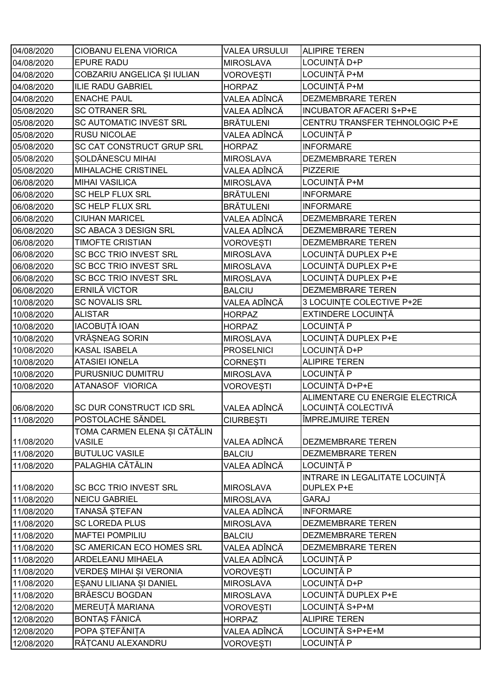|                          |                                                          |                                      | <b>ALIPIRE TEREN</b>                       |
|--------------------------|----------------------------------------------------------|--------------------------------------|--------------------------------------------|
| 04/08/2020               | CIOBANU ELENA VIORICA<br><b>EPURE RADU</b>               | VALEA URSULUI                        | LOCUINȚĂ D+P                               |
| 04/08/2020               | COBZARIU ANGELICA ȘI IULIAN                              | <b>MIROSLAVA</b>                     | LOCUINȚĂ P+M                               |
| 04/08/2020<br>04/08/2020 | <b>ILIE RADU GABRIEL</b>                                 | <b>VOROVESTI</b><br><b>HORPAZ</b>    | LOCUINȚĂ P+M                               |
| 04/08/2020               | <b>ENACHE PAUL</b>                                       | VALEA ADÎNCĂ                         | <b>DEZMEMBRARE TEREN</b>                   |
|                          | <b>SC OTRANER SRL</b>                                    | VALEA ADÎNCĂ                         | <b>INCUBATOR AFACERI S+P+E</b>             |
| 05/08/2020<br>05/08/2020 | <b>SC AUTOMATIC INVEST SRL</b>                           | <b>BRĂTULENI</b>                     | CENTRU TRANSFER TEHNOLOGIC P+E             |
| 05/08/2020               | <b>RUSU NICOLAE</b>                                      | VALEA ADÎNCĂ                         | LOCUINȚĂ P                                 |
| 05/08/2020               | SC CAT CONSTRUCT GRUP SRL                                | <b>HORPAZ</b>                        | <b>INFORMARE</b>                           |
| 05/08/2020               | SOLDĂNESCU MIHAI                                         | <b>MIROSLAVA</b>                     | <b>DEZMEMBRARE TEREN</b>                   |
| 05/08/2020               | <b>MIHALACHE CRISTINEL</b>                               | VALEA ADÎNCĂ                         | <b>PIZZERIE</b>                            |
| 06/08/2020               | <b>MIHAI VASILICA</b>                                    | <b>MIROSLAVA</b>                     | LOCUINȚĂ P+M                               |
|                          | <b>SC HELP FLUX SRL</b>                                  | <b>BRÄTULENI</b>                     | <b>INFORMARE</b>                           |
| 06/08/2020               | SC HELP FLUX SRL                                         |                                      | <b>INFORMARE</b>                           |
| 06/08/2020               | <b>CIUHAN MARICEL</b>                                    | <b>BRĂTULENI</b><br>VALEA ADÎNCĂ     | <b>DEZMEMBRARE TEREN</b>                   |
| 06/08/2020               |                                                          | VALEA ADÎNCĂ                         |                                            |
| 06/08/2020               | SC ABACA 3 DESIGN SRL                                    |                                      | DEZMEMBRARE TEREN                          |
| 06/08/2020               | <b>TIMOFTE CRISTIAN</b><br><b>SC BCC TRIO INVEST SRL</b> | <b>VOROVESTI</b>                     | <b>DEZMEMBRARE TEREN</b>                   |
| 06/08/2020               | <b>SC BCC TRIO INVEST SRL</b>                            | <b>MIROSLAVA</b>                     | LOCUINȚĂ DUPLEX P+E                        |
| 06/08/2020               | <b>SC BCC TRIO INVEST SRL</b>                            | <b>MIROSLAVA</b>                     | LOCUINȚĂ DUPLEX P+E<br>LOCUINȚĂ DUPLEX P+E |
| 06/08/2020               | ERNILĂ VICTOR                                            | <b>MIROSLAVA</b>                     | <b>DEZMEMBRARE TEREN</b>                   |
| 06/08/2020<br>10/08/2020 | <b>SC NOVALIS SRL</b>                                    | <b>BALCIU</b><br>VALEA ADÎNCĂ        | 3 LOCUINTE COLECTIVE P+2E                  |
|                          | <b>ALISTAR</b>                                           |                                      | <b>EXTINDERE LOCUINTĂ</b>                  |
| 10/08/2020<br>10/08/2020 | <b>IACOBUTĂ IOAN</b>                                     | <b>HORPAZ</b><br><b>HORPAZ</b>       | LOCUINȚĂ P                                 |
|                          | VRĂSNEAG SORIN                                           | <b>MIROSLAVA</b>                     | LOCUINȚĂ DUPLEX P+E                        |
| 10/08/2020<br>10/08/2020 | KASAL ISABELA                                            | <b>PROSELNICI</b>                    | LOCUINȚĂ D+P                               |
| 10/08/2020               | <b>ATASIEI IONELA</b>                                    | <b>CORNESTI</b>                      | <b>ALIPIRE TEREN</b>                       |
|                          | PURUSNIUC DUMITRU                                        |                                      | LOCUINȚĂ P                                 |
| 10/08/2020<br>10/08/2020 | ATANASOF VIORICA                                         | <b>MIROSLAVA</b><br><b>VOROVESTI</b> | LOCUINȚĂ D+P+E                             |
|                          |                                                          |                                      | ALIMENTARE CU ENERGIE ELECTRICĂ            |
| 06/08/2020               | <b>SC DUR CONSTRUCT ICD SRL</b>                          | VALEA ADÎNCĂ                         | LOCUINȚĂ COLECTIVĂ                         |
| 11/08/2020               | POSTOLACHE SĂNDEL                                        | <b>CIURBESTI</b>                     | ÎMPREJMUIRE TEREN                          |
|                          | TOMA CARMEN ELENA ȘI CĂTĂLIN                             |                                      |                                            |
| 11/08/2020               | VASILE                                                   | VALEA ADÎNCĂ                         | <b>DEZMEMBRARE TEREN</b>                   |
| 11/08/2020               | <b>BUTULUC VASILE</b>                                    | <b>BALCIU</b>                        | DEZMEMBRARE TEREN                          |
| 11/08/2020               | PALAGHIA CĂTĂLIN                                         | VALEA ADÎNCĂ                         | LOCUINȚĂ P                                 |
|                          |                                                          |                                      | INTRARE IN LEGALITATE LOCUINȚĂ             |
| 11/08/2020               | SC BCC TRIO INVEST SRL                                   | <b>MIROSLAVA</b>                     | DUPLEX P+E                                 |
| 11/08/2020               | <b>NEICU GABRIEL</b>                                     | <b>MIROSLAVA</b>                     | <b>GARAJ</b>                               |
| 11/08/2020               | TANASĂ ȘTEFAN                                            | VALEA ADÎNCĂ                         | <b>INFORMARE</b>                           |
| 11/08/2020               | <b>SC LOREDA PLUS</b>                                    | <b>MIROSLAVA</b>                     | DEZMEMBRARE TEREN                          |
| 11/08/2020               | <b>MAFTEI POMPILIU</b>                                   | <b>BALCIU</b>                        | DEZMEMBRARE TEREN                          |
| 11/08/2020               | SC AMERICAN ECO HOMES SRL                                | VALEA ADÎNCĂ                         | DEZMEMBRARE TEREN                          |
| 11/08/2020               | ARDELEANU MIHAELA                                        | VALEA ADÎNCĂ                         | LOCUINȚĂ P                                 |
| 11/08/2020               | VERDES MIHAI ȘI VERONIA                                  | VOROVEȘTI                            | LOCUINȚĂ P                                 |
| 11/08/2020               | ESANU LILIANA ȘI DANIEL                                  | <b>MIROSLAVA</b>                     | LOCUINȚĂ D+P                               |
| 11/08/2020               | BRĂESCU BOGDAN                                           | <b>MIROSLAVA</b>                     | LOCUINȚĂ DUPLEX P+E                        |
| 12/08/2020               | MEREUTĂ MARIANA                                          | VOROVEȘTI                            | LOCUINȚĂ S+P+M                             |
| 12/08/2020               | BONTAȘ FĂNICĂ                                            | <b>HORPAZ</b>                        | <b>ALIPIRE TEREN</b>                       |
| 12/08/2020               | POPA STEFĂNIȚA                                           | VALEA ADÎNCĂ                         | LOCUINȚĂ S+P+E+M                           |
| 12/08/2020               | RĂȚCANU ALEXANDRU                                        | <b>VOROVESTI</b>                     | LOCUINȚĂ P                                 |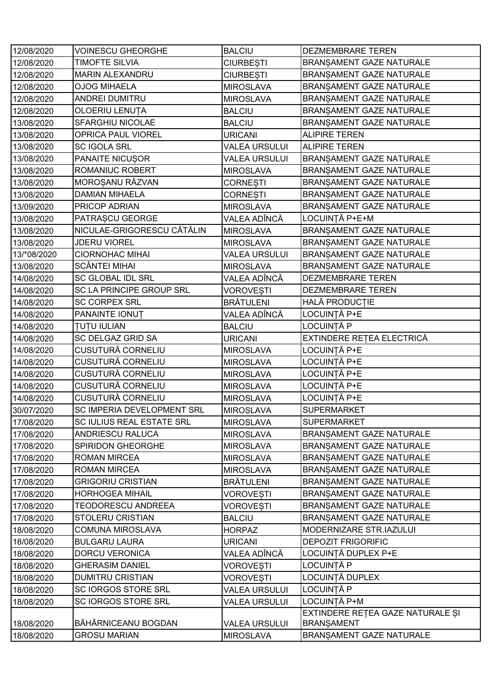| 12/08/2020  | <b>VOINESCU GHEORGHE</b>          | <b>BALCIU</b>        | <b>DEZMEMBRARE TEREN</b>         |
|-------------|-----------------------------------|----------------------|----------------------------------|
| 12/08/2020  | <b>TIMOFTE SILVIA</b>             | <b>CIURBESTI</b>     | BRANSAMENT GAZE NATURALE         |
| 12/08/2020  | <b>MARIN ALEXANDRU</b>            | <b>CIURBESTI</b>     | BRANSAMENT GAZE NATURALE         |
| 12/08/2020  | <b>OJOG MIHAELA</b>               | <b>MIROSLAVA</b>     | BRANSAMENT GAZE NATURALE         |
| 12/08/2020  | ANDREI DUMITRU                    | <b>MIROSLAVA</b>     | BRANSAMENT GAZE NATURALE         |
| 12/08/2020  | OLOERIU LENUȚA                    | <b>BALCIU</b>        | BRANSAMENT GAZE NATURALE         |
| 13/08/2020  | SFARGHIU NICOLAE                  | <b>BALCIU</b>        | BRANSAMENT GAZE NATURALE         |
| 13/08/2020  | <b>OPRICA PAUL VIOREL</b>         | <b>URICANI</b>       | <b>ALIPIRE TEREN</b>             |
| 13/08/2020  | <b>SC IGOLA SRL</b>               | <b>VALEA URSULUI</b> | <b>ALIPIRE TEREN</b>             |
| 13/08/2020  | <b>PANAITE NICUSOR</b>            | <b>VALEA URSULUI</b> | <b>BRANSAMENT GAZE NATURALE</b>  |
| 13/08/2020  | ROMANIUC ROBERT                   | <b>MIROSLAVA</b>     | BRANSAMENT GAZE NATURALE         |
| 13/08/2020  | MOROSANU RĂZVAN                   | <b>CORNESTI</b>      | BRANSAMENT GAZE NATURALE         |
| 13/08/2020  | <b>DAMIAN MIHAELA</b>             | <b>CORNESTI</b>      | BRANSAMENT GAZE NATURALE         |
| 13/09/2020  | PRICOP ADRIAN                     | <b>MIROSLAVA</b>     | BRANSAMENT GAZE NATURALE         |
| 13/08/2020  | PATRASCU GEORGE                   | VALEA ADÎNCĂ         | LOCUINȚĂ P+E+M                   |
| 13/08/2020  | NICULAE-GRIGORESCU CĂTĂLIN        | <b>MIROSLAVA</b>     | BRANSAMENT GAZE NATURALE         |
| 13/08/2020  | <b>JDERU VIOREL</b>               | <b>MIROSLAVA</b>     | BRANSAMENT GAZE NATURALE         |
| 13/*08/2020 | <b>CIORNOHAC MIHAI</b>            | <b>VALEA URSULUI</b> | BRANSAMENT GAZE NATURALE         |
| 13/08/2020  | <b>SCÂNTEI MIHAI</b>              | <b>MIROSLAVA</b>     | BRANSAMENT GAZE NATURALE         |
| 14/08/2020  | <b>SC GLOBAL IDL SRL</b>          | VALEA ADÎNCĂ         | DEZMEMBRARE TEREN                |
| 14/08/2020  | SC LA PRINCIPE GROUP SRL          | <b>VOROVESTI</b>     | DEZMEMBRARE TEREN                |
| 14/08/2020  | <b>SC CORPEX SRL</b>              | <b>BRĂTULENI</b>     | <b>HALĂ PRODUCȚIE</b>            |
| 14/08/2020  | PANAINTE IONUT                    | VALEA ADÎNCĂ         | LOCUINȚĂ P+E                     |
| 14/08/2020  | <b>TUTU IULIAN</b>                | <b>BALCIU</b>        | LOCUINȚĂ P                       |
| 14/08/2020  | SC DELGAZ GRID SA                 | <b>URICANI</b>       | EXTINDERE RETEA ELECTRICĂ        |
| 14/08/2020  | CUSUTURĂ CORNELIU                 | <b>MIROSLAVA</b>     | LOCUINȚĂ P+E                     |
| 14/08/2020  | CUSUTURĂ CORNELIU                 | <b>MIROSLAVA</b>     | LOCUINȚĂ P+E                     |
| 14/08/2020  | CUSUTURĂ CORNELIU                 | <b>MIROSLAVA</b>     | LOCUINȚĂ P+E                     |
| 14/08/2020  | CUSUTURĂ CORNELIU                 | <b>MIROSLAVA</b>     | LOCUINȚĂ P+E                     |
| 14/08/2020  | CUSUTURĂ CORNELIU                 | <b>MIROSLAVA</b>     | LOCUINȚĂ P+E                     |
| 30/07/2020  | <b>SC IMPERIA DEVELOPMENT SRL</b> | <b>MIROSLAVA</b>     | <b>SUPERMARKET</b>               |
| 17/08/2020  | SC IULIUS REAL ESTATE SRL         | <b>MIROSLAVA</b>     | <b>SUPERMARKET</b>               |
| 17/08/2020  | <b>ANDRIESCU RALUCA</b>           | <b>MIROSLAVA</b>     | BRANSAMENT GAZE NATURALE         |
| 17/08/2020  | <b>SPIRIDON GHEORGHE</b>          | <b>MIROSLAVA</b>     | BRANSAMENT GAZE NATURALE         |
| 17/08/2020  | <b>ROMAN MIRCEA</b>               | <b>MIROSLAVA</b>     | BRANSAMENT GAZE NATURALE         |
| 17/08/2020  | <b>ROMAN MIRCEA</b>               | <b>MIROSLAVA</b>     | BRANSAMENT GAZE NATURALE         |
| 17/08/2020  | <b>GRIGORIU CRISTIAN</b>          | <b>BRĂTULENI</b>     | BRANSAMENT GAZE NATURALE         |
| 17/08/2020  | <b>HORHOGEA MIHAIL</b>            | <b>VOROVESTI</b>     | BRANSAMENT GAZE NATURALE         |
| 17/08/2020  | <b>TEODORESCU ANDREEA</b>         | VOROVESTI            | BRANSAMENT GAZE NATURALE         |
| 17/08/2020  | <b>STOLERU CRISTIAN</b>           | <b>BALCIU</b>        | <b>BRANSAMENT GAZE NATURALE</b>  |
| 18/08/2020  | <b>COMUNA MIROSLAVA</b>           | <b>HORPAZ</b>        | MODERNIZARE STR.IAZULUI          |
| 18/08/2020  | <b>BULGARU LAURA</b>              | <b>URICANI</b>       | <b>DEPOZIT FRIGORIFIC</b>        |
| 18/08/2020  | <b>DORCU VERONICA</b>             | VALEA ADÎNCĂ         | LOCUINȚĂ DUPLEX P+E              |
| 18/08/2020  | <b>GHERASIM DANIEL</b>            | <b>VOROVESTI</b>     | LOCUINTĂ P                       |
| 18/08/2020  | <b>DUMITRU CRISTIAN</b>           | <b>VOROVESTI</b>     | LOCUINȚĂ DUPLEX                  |
| 18/08/2020  | <b>SC IORGOS STORE SRL</b>        | VALEA URSULUI        | LOCUINȚĂ P                       |
| 18/08/2020  | <b>SC IORGOS STORE SRL</b>        | <b>VALEA URSULUI</b> | LOCUINȚĂ P+M                     |
|             |                                   |                      | EXTINDERE REȚEA GAZE NATURALE ȘI |
| 18/08/2020  | <b>BĂHĂRNICEANU BOGDAN</b>        | <b>VALEA URSULUI</b> | <b>BRANSAMENT</b>                |
|             | <b>GROSU MARIAN</b>               | <b>MIROSLAVA</b>     | BRANSAMENT GAZE NATURALE         |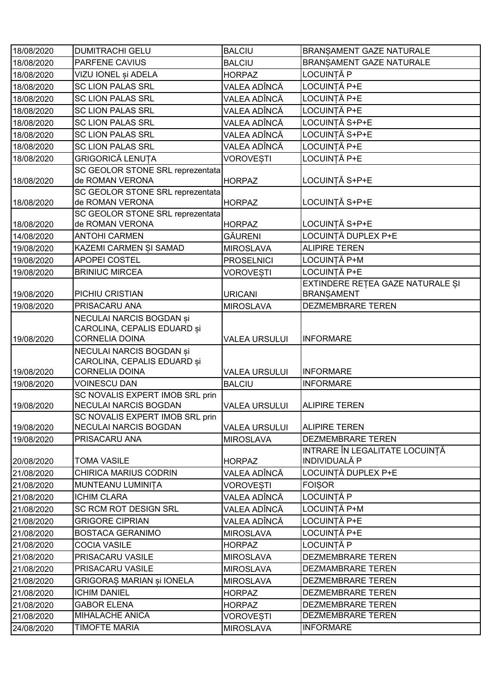| 18/08/2020 | <b>DUMITRACHI GELU</b>                                                           | <b>BALCIU</b>        | <b>BRANSAMENT GAZE NATURALE</b>                 |
|------------|----------------------------------------------------------------------------------|----------------------|-------------------------------------------------|
| 18/08/2020 | PARFENE CAVIUS                                                                   | <b>BALCIU</b>        | BRANSAMENT GAZE NATURALE                        |
| 18/08/2020 | VIZU IONEL și ADELA                                                              | <b>HORPAZ</b>        | LOCUINȚĂ P                                      |
| 18/08/2020 | <b>SC LION PALAS SRL</b>                                                         | VALEA ADÎNCĂ         | LOCUINȚĂ P+E                                    |
| 18/08/2020 | <b>SC LION PALAS SRL</b>                                                         | VALEA ADÎNCĂ         | LOCUINȚĂ P+E                                    |
| 18/08/2020 | <b>SC LION PALAS SRL</b>                                                         | VALEA ADÎNCĂ         | LOCUINTĂ P+E                                    |
| 18/08/2020 | <b>SC LION PALAS SRL</b>                                                         | VALEA ADÎNCĂ         | LOCUINTĂ S+P+E                                  |
| 18/08/2020 | <b>SC LION PALAS SRL</b>                                                         | VALEA ADÎNCĂ         | LOCUINȚĂ S+P+E                                  |
| 18/08/2020 | <b>SC LION PALAS SRL</b>                                                         | VALEA ADÎNCĂ         | LOCUINȚĂ P+E                                    |
| 18/08/2020 | <b>GRIGORICĂ LENUȚA</b>                                                          | <b>VOROVESTI</b>     | LOCUINȚĂ P+E                                    |
| 18/08/2020 | SC GEOLOR STONE SRL reprezentata<br>de ROMAN VERONA                              | <b>HORPAZ</b>        | LOCUINȚĂ S+P+E                                  |
| 18/08/2020 | SC GEOLOR STONE SRL reprezentata<br>de ROMAN VERONA                              | <b>HORPAZ</b>        | LOCUINȚĂ S+P+E                                  |
| 18/08/2020 | SC GEOLOR STONE SRL reprezentata<br>de ROMAN VERONA                              | <b>HORPAZ</b>        | LOCUINȚĂ S+P+E                                  |
| 14/08/2020 | <b>ANTOHI CARMEN</b>                                                             | <b>GĂURENI</b>       | LOCUINȚĂ DUPLEX P+E                             |
| 19/08/2020 | KAZEMI CARMEN SI SAMAD                                                           | <b>MIROSLAVA</b>     | <b>ALIPIRE TEREN</b>                            |
| 19/08/2020 | <b>APOPEI COSTEL</b>                                                             | <b>PROSELNICI</b>    | LOCUINTĂ P+M                                    |
| 19/08/2020 | <b>BRINIUC MIRCEA</b>                                                            | <b>VOROVESTI</b>     | LOCUINȚĂ P+E                                    |
|            |                                                                                  |                      | EXTINDERE RETEA GAZE NATURALE ȘI                |
| 19/08/2020 | PICHIU CRISTIAN                                                                  | <b>URICANI</b>       | <b>BRANSAMENT</b>                               |
| 19/08/2020 | PRISACARU ANA                                                                    | <b>MIROSLAVA</b>     | <b>DEZMEMBRARE TEREN</b>                        |
| 19/08/2020 | NECULAI NARCIS BOGDAN și<br>CAROLINA, CEPALIS EDUARD și<br><b>CORNELIA DOINA</b> | <b>VALEA URSULUI</b> | <b>INFORMARE</b>                                |
|            | NECULAI NARCIS BOGDAN și<br>CAROLINA, CEPALIS EDUARD și                          |                      |                                                 |
| 19/08/2020 | <b>CORNELIA DOINA</b>                                                            | <b>VALEA URSULUI</b> | <b>INFORMARE</b>                                |
| 19/08/2020 | <b>VOINESCU DAN</b><br>SC NOVALIS EXPERT IMOB SRL prin                           | <b>BALCIU</b>        | <b>INFORMARE</b>                                |
| 19/08/2020 | <b>NECULAI NARCIS BOGDAN</b>                                                     | <b>VALEA URSULUI</b> | <b>ALIPIRE TEREN</b>                            |
| 19/08/2020 | SC NOVALIS EXPERT IMOB SRL prin<br>NECULAI NARCIS BOGDAN                         | <b>VALEA URSULUI</b> | <b>ALIPIRE TEREN</b>                            |
| 19/08/2020 | PRISACARU ANA                                                                    | <b>MIROSLAVA</b>     | <b>DEZMEMBRARE TEREN</b>                        |
| 20/08/2020 | <b>TOMA VASILE</b>                                                               | <b>HORPAZ</b>        | INTRARE ÎN LEGALITATE LOCUINȚĂ<br>INDIVIDUALĂ P |
| 21/08/2020 | <b>CHIRICA MARIUS CODRIN</b>                                                     | VALEA ADÎNCĂ         | LOCUINȚĂ DUPLEX P+E                             |
| 21/08/2020 | MUNTEANU LUMINITA                                                                | <b>VOROVESTI</b>     | <b>FOISOR</b>                                   |
| 21/08/2020 | <b>ICHIM CLARA</b>                                                               | VALEA ADÎNCĂ         | LOCUINȚĂ P                                      |
| 21/08/2020 | SC RCM ROT DESIGN SRL                                                            | VALEA ADÎNCĂ         | LOCUINȚĂ P+M                                    |
| 21/08/2020 | <b>GRIGORE CIPRIAN</b>                                                           | VALEA ADÎNCĂ         | LOCUINTĂ P+E                                    |
| 21/08/2020 | <b>BOSTACA GERANIMO</b>                                                          | <b>MIROSLAVA</b>     | LOCUINȚĂ P+E                                    |
| 21/08/2020 | <b>COCIA VASILE</b>                                                              | <b>HORPAZ</b>        | LOCUINȚĂ P                                      |
| 21/08/2020 | PRISACARU VASILE                                                                 | <b>MIROSLAVA</b>     | <b>DEZMEMBRARE TEREN</b>                        |
| 21/08/2020 | PRISACARU VASILE                                                                 | <b>MIROSLAVA</b>     | DEZMAMBRARE TEREN                               |
| 21/08/2020 | <b>GRIGORAS MARIAN SI IONELA</b>                                                 | <b>MIROSLAVA</b>     | DEZMEMBRARE TEREN                               |
| 21/08/2020 | <b>ICHIM DANIEL</b>                                                              | <b>HORPAZ</b>        | DEZMEMBRARE TEREN                               |
| 21/08/2020 | <b>GABOR ELENA</b>                                                               | <b>HORPAZ</b>        | DEZMEMBRARE TEREN                               |
| 21/08/2020 | MIHALACHE ANICA                                                                  | <b>VOROVESTI</b>     | <b>DEZMEMBRARE TEREN</b>                        |
| 24/08/2020 | <b>TIMOFTE MARIA</b>                                                             | <b>MIROSLAVA</b>     | <b>INFORMARE</b>                                |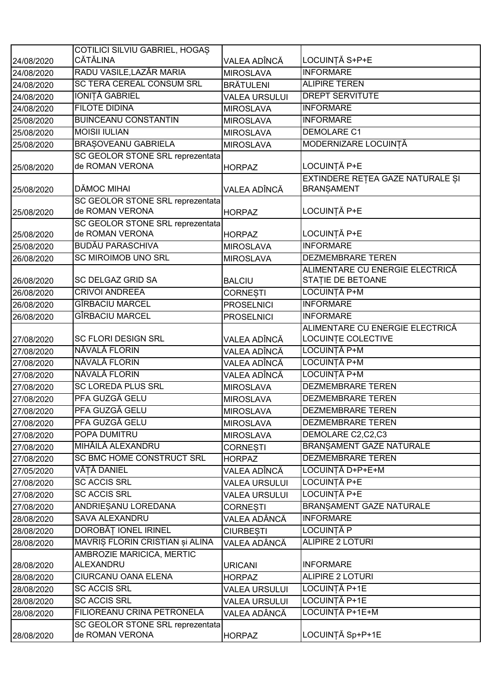|            | COTILICI SILVIU GABRIEL, HOGAȘ   |                      |                                                       |
|------------|----------------------------------|----------------------|-------------------------------------------------------|
| 24/08/2020 | <b>CĂTĂLINA</b>                  | VALEA ADÎNCĂ         | LOCUINȚĂ S+P+E                                        |
| 24/08/2020 | RADU VASILE, LAZĂR MARIA         | <b>MIROSLAVA</b>     | <b>INFORMARE</b>                                      |
| 24/08/2020 | <b>SC TERA CEREAL CONSUM SRL</b> | <b>BRÄTULENI</b>     | <b>ALIPIRE TEREN</b>                                  |
| 24/08/2020 | <b>IONIȚĂ GABRIEL</b>            | <b>VALEA URSULUI</b> | <b>DREPT SERVITUTE</b>                                |
| 24/08/2020 | <b>FILOTE DIDINA</b>             | <b>MIROSLAVA</b>     | <b>INFORMARE</b>                                      |
| 25/08/2020 | <b>BUINCEANU CONSTANTIN</b>      | <b>MIROSLAVA</b>     | <b>INFORMARE</b>                                      |
| 25/08/2020 | <b>MOISII IULIAN</b>             | <b>MIROSLAVA</b>     | <b>DEMOLARE C1</b>                                    |
| 25/08/2020 | <b>BRASOVEANU GABRIELA</b>       | <b>MIROSLAVA</b>     | MODERNIZARE LOCUINȚĂ                                  |
|            | SC GEOLOR STONE SRL reprezentata |                      |                                                       |
| 25/08/2020 | de ROMAN VERONA                  | <b>HORPAZ</b>        | LOCUINȚĂ P+E                                          |
| 25/08/2020 | <b>DĂMOC MIHAI</b>               | VALEA ADÎNCĂ         | EXTINDERE REȚEA GAZE NATURALE ȘI<br><b>BRANŞAMENT</b> |
|            | SC GEOLOR STONE SRL reprezentata |                      |                                                       |
| 25/08/2020 | de ROMAN VERONA                  | <b>HORPAZ</b>        | LOCUINȚĂ P+E                                          |
|            | SC GEOLOR STONE SRL reprezentata |                      |                                                       |
| 25/08/2020 | de ROMAN VERONA                  | <b>HORPAZ</b>        | LOCUINȚĂ P+E                                          |
| 25/08/2020 | <b>BUDĂU PARASCHIVA</b>          | <b>MIROSLAVA</b>     | <b>INFORMARE</b>                                      |
| 26/08/2020 | <b>SC MIROIMOB UNO SRL</b>       | <b>MIROSLAVA</b>     | <b>DEZMEMBRARE TEREN</b>                              |
|            |                                  |                      | ALIMENTARE CU ENERGIE ELECTRICĂ                       |
| 26/08/2020 | <b>SC DELGAZ GRID SA</b>         | <b>BALCIU</b>        | STATIE DE BETOANE                                     |
| 26/08/2020 | <b>CRIVOI ANDREEA</b>            | <b>CORNESTI</b>      | LOCUINȚĂ P+M                                          |
| 26/08/2020 | <b>GÎRBACIU MARCEL</b>           | <b>PROSELNICI</b>    | <b>INFORMARE</b>                                      |
| 26/08/2020 | GÎRBACIU MARCEL                  | <b>PROSELNICI</b>    | <b>INFORMARE</b>                                      |
| 27/08/2020 | <b>SC FLORI DESIGN SRL</b>       | VALEA ADÎNCĂ         | ALIMENTARE CU ENERGIE ELECTRICĂ<br>LOCUINTE COLECTIVE |
| 27/08/2020 | NĂVALĂ FLORIN                    | VALEA ADÎNCĂ         | LOCUINȚĂ P+M                                          |
| 27/08/2020 | NĂVALĂ FLORIN                    | VALEA ADÎNCĂ         | LOCUINȚĂ P+M                                          |
| 27/08/2020 | NĂVALĂ FLORIN                    | VALEA ADÎNCĂ         | LOCUINȚĂ P+M                                          |
| 27/08/2020 | <b>SC LOREDA PLUS SRL</b>        | <b>MIROSLAVA</b>     | <b>DEZMEMBRARE TEREN</b>                              |
| 27/08/2020 | PFA GUZGĂ GELU                   | <b>MIROSLAVA</b>     | <b>DEZMEMBRARE TEREN</b>                              |
| 27/08/2020 | PFA GUZGĂ GELU                   | <b>MIROSLAVA</b>     | DEZMEMBRARE TEREN                                     |
| 27/08/2020 | PFA GUZGĂ GELU                   | <b>MIROSLAVA</b>     | DEZMEMBRARE TEREN                                     |
| 27/08/2020 | POPA DUMITRU                     | <b>MIROSLAVA</b>     | DEMOLARE C2,C2,C3                                     |
| 27/08/2020 | MIHĂILĂ ALEXANDRU                | <b>CORNESTI</b>      | <b>BRANSAMENT GAZE NATURALE</b>                       |
| 27/08/2020 | SC BMC HOME CONSTRUCT SRL        | <b>HORPAZ</b>        | <b>DEZMEMBRARE TEREN</b>                              |
| 27/05/2020 | VÂTĂ DANIEL                      | VALEA ADÎNCĂ         | LOCUINȚĂ D+P+E+M                                      |
| 27/08/2020 | <b>SC ACCIS SRL</b>              | <b>VALEA URSULUI</b> | LOCUINȚĂ P+E                                          |
| 27/08/2020 | <b>SC ACCIS SRL</b>              | <b>VALEA URSULUI</b> | LOCUINȚĂ P+E                                          |
| 27/08/2020 | ANDRIESANU LOREDANA              | <b>CORNESTI</b>      | BRANSAMENT GAZE NATURALE                              |
| 28/08/2020 | SAVA ALEXANDRU                   | VALEA ADÂNCĂ         | <b>INFORMARE</b>                                      |
| 28/08/2020 | DOROBĂȚ IONEL IRINEL             | <b>CIURBESTI</b>     | LOCUINȚĂ P                                            |
| 28/08/2020 | MAVRIS FLORIN CRISTIAN și ALINA  | VALEA ADÂNCĂ         | <b>ALIPIRE 2 LOTURI</b>                               |
|            | AMBROZIE MARICICA, MERTIC        |                      |                                                       |
| 28/08/2020 | ALEXANDRU                        | <b>URICANI</b>       | <b>INFORMARE</b>                                      |
| 28/08/2020 | CIURCANU OANA ELENA              | <b>HORPAZ</b>        | <b>ALIPIRE 2 LOTURI</b>                               |
| 28/08/2020 | <b>SC ACCIS SRL</b>              | <b>VALEA URSULUI</b> | LOCUINTĂ P+1E                                         |
| 28/08/2020 | <b>SC ACCIS SRL</b>              | <b>VALEA URSULUI</b> | LOCUINȚĂ P+1E                                         |
| 28/08/2020 | FILIOREANU CRINA PETRONELA       | VALEA ADÂNCĂ         | LOCUINȚĂ P+1E+M                                       |
|            | SC GEOLOR STONE SRL reprezentata |                      |                                                       |
| 28/08/2020 | de ROMAN VERONA                  | <b>HORPAZ</b>        | LOCUINȚĂ Sp+P+1E                                      |